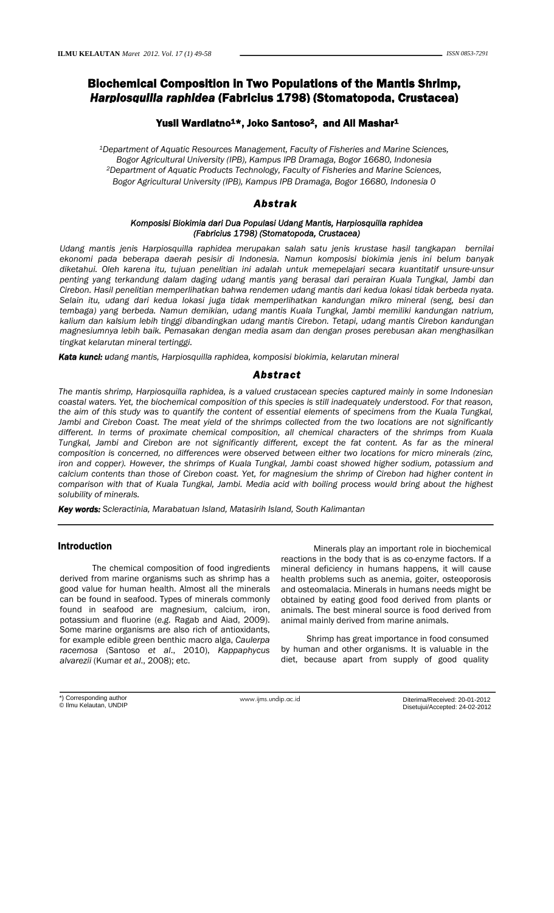# Biochemical Composition in Two Populations of the Mantis Shrimp, *Harpiosquilla raphidea* (Fabricius 1798) (Stomatopoda, Crustacea)

## Yusli Wardiatno<sup>1\*</sup>, Joko Santoso<sup>2</sup>, and Ali Mashar<sup>1</sup>

*1Department of Aquatic Resources Management, Faculty of Fisheries and Marine Sciences, Bogor Agricultural University (IPB), Kampus IPB Dramaga, Bogor 16680, Indonesia 2Department of Aquatic Products Technology, Faculty of Fisheries and Marine Sciences, Bogor Agricultural University (IPB), Kampus IPB Dramaga, Bogor 16680, Indonesia 0* 

## *Abstrak*

## *Komposisi Biokimia dari Dua Populasi Udang Mantis, Harpiosquilla raphidea (Fabricius 1798) (Stomatopoda, Crustacea)*

*Udang mantis jenis Harpiosquilla raphidea merupakan salah satu jenis krustase hasil tangkapan bernilai ekonomi pada beberapa daerah pesisir di Indonesia. Namun komposisi biokimia jenis ini belum banyak diketahui. Oleh karena itu, tujuan penelitian ini adalah untuk memepelajari secara kuantitatif unsure-unsur penting yang terkandung dalam daging udang mantis yang berasal dari perairan Kuala Tungkal, Jambi dan Cirebon. Hasil penelitian memperlihatkan bahwa rendemen udang mantis dari kedua lokasi tidak berbeda nyata. Selain itu, udang dari kedua lokasi juga tidak memperlihatkan kandungan mikro mineral (seng, besi dan tembaga) yang berbeda. Namun demikian, udang mantis Kuala Tungkal, Jambi memiliki kandungan natrium, kalium dan kalsium lebih tinggi dibandingkan udang mantis Cirebon. Tetapi, udang mantis Cirebon kandungan magnesiumnya lebih baik. Pemasakan dengan media asam dan dengan proses perebusan akan menghasilkan tingkat kelarutan mineral tertinggi.*

*Kata kunci: udang mantis, Harpiosquilla raphidea, komposisi biokimia, kelarutan mineral*

## *Abstract*

*The mantis shrimp, Harpiosquilla raphidea, is a valued crustacean species captured mainly in some Indonesian coastal waters. Yet, the biochemical composition of this species is still inadequately understood. For that reason, the aim of this study was to quantify the content of essential elements of specimens from the Kuala Tungkal, Jambi and Cirebon Coast. The meat yield of the shrimps collected from the two locations are not significantly different. In terms of proximate chemical composition, all chemical characters of the shrimps from Kuala Tungkal, Jambi and Cirebon are not significantly different, except the fat content. As far as the mineral composition is concerned, no differences were observed between either two locations for micro minerals (zinc, iron and copper). However, the shrimps of Kuala Tungkal, Jambi coast showed higher sodium, potassium and calcium contents than those of Cirebon coast. Yet, for magnesium the shrimp of Cirebon had higher content in comparison with that of Kuala Tungkal, Jambi. Media acid with boiling process would bring about the highest solubility of minerals.* 

*Key words: Scleractinia, Marabatuan Island, Matasirih Island, South Kalimantan*

## Introduction

 The chemical composition of food ingredients derived from marine organisms such as shrimp has a good value for human health. Almost all the minerals can be found in seafood. Types of minerals commonly found in seafood are magnesium, calcium, iron, potassium and fluorine (*e.g.* Ragab and Aiad, 2009). Some marine organisms are also rich of antioxidants, for example edible green benthic macro alga, *Caulerpa racemosa* (Santoso *et al*., 2010), *Kappaphycus alvarezii* (Kumar *et al*., 2008); etc.

Minerals play an important role in biochemical reactions in the body that is as co-enzyme factors. If a mineral deficiency in humans happens, it will cause health problems such as anemia, goiter, osteoporosis and osteomalacia. Minerals in humans needs might be obtained by eating good food derived from plants or animals. The best mineral source is food derived from animal mainly derived from marine animals.

Shrimp has great importance in food consumed by human and other organisms. It is valuable in the diet, because apart from supply of good quality

\*) Corresponding author © Ilmu Kelautan, UNDIP

www.ijms.undip.ac.id Diterima/Received: 20-01-2012 Disetujui/Accepted: 24-02-2012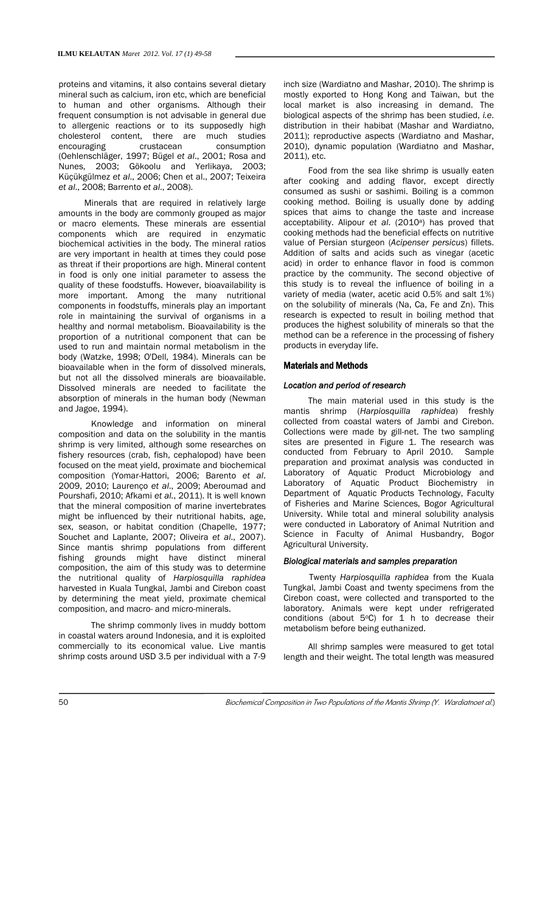proteins and vitamins, it also contains several dietary mineral such as calcium, iron etc, which are beneficial to human and other organisms. Although their frequent consumption is not advisable in general due to allergenic reactions or to its supposedly high cholesterol content, there are much studies encouraging crustacean consumption (Oehlenschläger, 1997; Bügel *et al*., 2001; Rosa and Nunes, 2003; Gökoolu and Yerlikaya, 2003; Küçükgülmez *et al*., 2006; Chen et al., 2007; Teixeira *et al*., 2008; Barrento *et al*., 2008).

Minerals that are required in relatively large amounts in the body are commonly grouped as major or macro elements. These minerals are essential components which are required in enzymatic biochemical activities in the body. The mineral ratios are very important in health at times they could pose as threat if their proportions are high. Mineral content in food is only one initial parameter to assess the quality of these foodstuffs. However, bioavailability is more important. Among the many nutritional components in foodstuffs, minerals play an important role in maintaining the survival of organisms in a healthy and normal metabolism. Bioavailability is the proportion of a nutritional component that can be used to run and maintain normal metabolism in the body (Watzke, 1998; O'Dell, 1984). Minerals can be bioavailable when in the form of dissolved minerals, but not all the dissolved minerals are bioavailable. Dissolved minerals are needed to facilitate the absorption of minerals in the human body (Newman and Jagoe, 1994).

 Knowledge and information on mineral composition and data on the solubility in the mantis shrimp is very limited, although some researches on fishery resources (crab, fish, cephalopod) have been focused on the meat yield, proximate and biochemical composition (Yomar-Hattori, 2006; Barento *et al*. 2009, 2010; Laurenço *et al*., 2009; Aberoumad and Pourshafi, 2010; Afkami *et al.*, 2011). It is well known that the mineral composition of marine invertebrates might be influenced by their nutritional habits, age, sex, season, or habitat condition (Chapelle, 1977; Souchet and Laplante, 2007; Oliveira *et al*., 2007). Since mantis shrimp populations from different fishing grounds might have distinct mineral composition, the aim of this study was to determine the nutritional quality of *Harpiosquilla raphidea* harvested in Kuala Tungkal, Jambi and Cirebon coast by determining the meat yield, proximate chemical composition, and macro- and micro-minerals.

 The shrimp commonly lives in muddy bottom in coastal waters around Indonesia, and it is exploited commercially to its economical value. Live mantis shrimp costs around USD 3.5 per individual with a 7-9

inch size (Wardiatno and Mashar, 2010). The shrimp is mostly exported to Hong Kong and Taiwan, but the local market is also increasing in demand. The biological aspects of the shrimp has been studied, *i.e*. distribution in their habibat (Mashar and Wardiatno, 2011); reproductive aspects (Wardiatno and Mashar, 2010), dynamic population (Wardiatno and Mashar, 2011), etc.

Food from the sea like shrimp is usually eaten after cooking and adding flavor, except directly consumed as sushi or sashimi. Boiling is a common cooking method. Boiling is usually done by adding spices that aims to change the taste and increase acceptability. Alipour *et al*. (2010a) has proved that cooking methods had the beneficial effects on nutritive value of Persian sturgeon (*Acipenser persicus*) fillets. Addition of salts and acids such as vinegar (acetic acid) in order to enhance flavor in food is common practice by the community. The second objective of this study is to reveal the influence of boiling in a variety of media (water, acetic acid 0.5% and salt 1%) on the solubility of minerals (Na, Ca, Fe and Zn). This research is expected to result in boiling method that produces the highest solubility of minerals so that the method can be a reference in the processing of fishery products in everyday life.

#### Materials and Methods

#### *Location and period of research*

The main material used in this study is the mantis shrimp (*Harpiosquilla raphidea*) freshly collected from coastal waters of Jambi and Cirebon. Collections were made by gill-net. The two sampling sites are presented in Figure 1. The research was conducted from February to April 2010. Sample preparation and proximat analysis was conducted in Laboratory of Aquatic Product Microbiology and Laboratory of Aquatic Product Biochemistry in Department of Aquatic Products Technology, Faculty of Fisheries and Marine Sciences, Bogor Agricultural University. While total and mineral solubility analysis were conducted in Laboratory of Animal Nutrition and Science in Faculty of Animal Husbandry, Bogor Agricultural University.

#### *Biological materials and samples preparation*

Twenty *Harpiosquilla raphidea* from the Kuala Tungkal, Jambi Coast and twenty specimens from the Cirebon coast, were collected and transported to the laboratory. Animals were kept under refrigerated conditions (about  $5^{\circ}$ C) for 1 h to decrease their metabolism before being euthanized.

All shrimp samples were measured to get total length and their weight. The total length was measured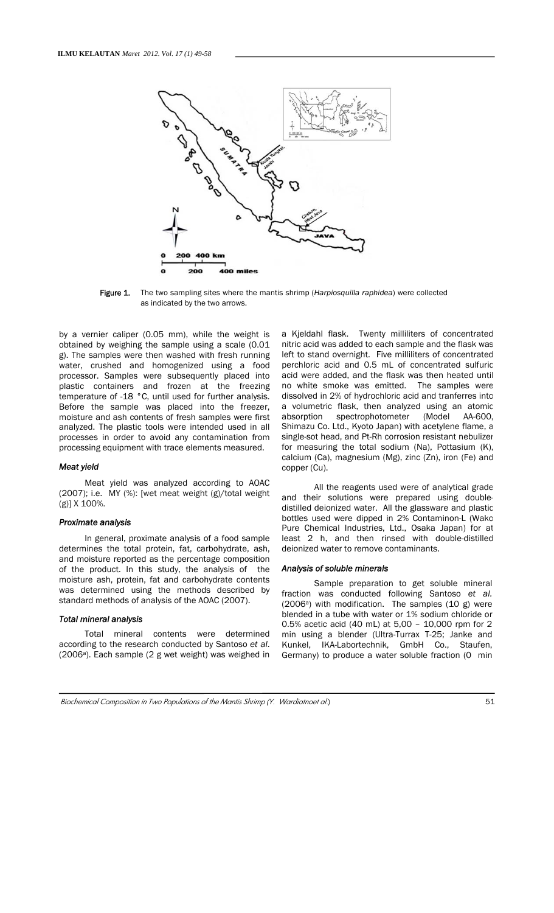

Figure 1. The two sampling sites where the mantis shrimp (*Harpiosquilla raphidea*) were collected as indicated by the two arrows.

by a vernier caliper (0.05 mm), while the weight is obtained by weighing the sample using a scale (0.01 g). The samples were then washed with fresh running water, crushed and homogenized using a food processor. Samples were subsequently placed into plastic containers and frozen at the freezing temperature of -18 °C, until used for further analysis. Before the sample was placed into the freezer, moisture and ash contents of fresh samples were first analyzed. The plastic tools were intended used in all processes in order to avoid any contamination from processing equipment with trace elements measured.

#### *Meat yield*

Meat yield was analyzed according to AOAC (2007); i.e. MY (%): [wet meat weight (g)/total weight (g)] X 100%.

#### *Proximate analysis*

In general, proximate analysis of a food sample determines the total protein, fat, carbohydrate, ash, and moisture reported as the percentage composition of the product. In this study, the analysis of the moisture ash, protein, fat and carbohydrate contents was determined using the methods described by standard methods of analysis of the AOAC (2007).

#### *Total mineral analysis*

Total mineral contents were determined according to the research conducted by Santoso *et al*. (2006<sup>a</sup>). Each sample (2 g wet weight) was weighed in

a Kjeldahl flask. Twenty milliliters of concentrated nitric acid was added to each sample and the flask was left to stand overnight. Five milliliters of concentrated perchloric acid and 0.5 mL of concentrated sulfuric acid were added, and the flask was then heated until no white smoke was emitted. The samples were dissolved in 2% of hydrochloric acid and tranferres into a volumetric flask, then analyzed using an atomic absorption spectrophotometer (Model AA-600, Shimazu Co. Ltd., Kyoto Japan) with acetylene flame, a single-sot head, and Pt-Rh corrosion resistant nebulizer for measuring the total sodium (Na), Pottasium (K), calcium (Ca), magnesium (Mg), zinc (Zn), iron (Fe) and copper (Cu).

All the reagents used were of analytical grade and their solutions were prepared using doubledistilled deionized water. All the glassware and plastic bottles used were dipped in 2% Contaminon-L (Wako Pure Chemical Industries, Ltd., Osaka Japan) for at least 2 h, and then rinsed with double-distilled deionized water to remove contaminants.

#### *Analysis of soluble minerals*

Sample preparation to get soluble mineral fraction was conducted following Santoso *et al.*  $(2006<sup>a</sup>)$  with modification. The samples  $(10 g)$  were blended in a tube with water or 1% sodium chloride or 0.5% acetic acid (40 mL) at 5,00 – 10,000 rpm for 2 min using a blender (Ultra-Turrax T-25; Janke and Kunkel, IKA-Labortechnik, GmbH Co., Staufen, Germany) to produce a water soluble fraction (0 min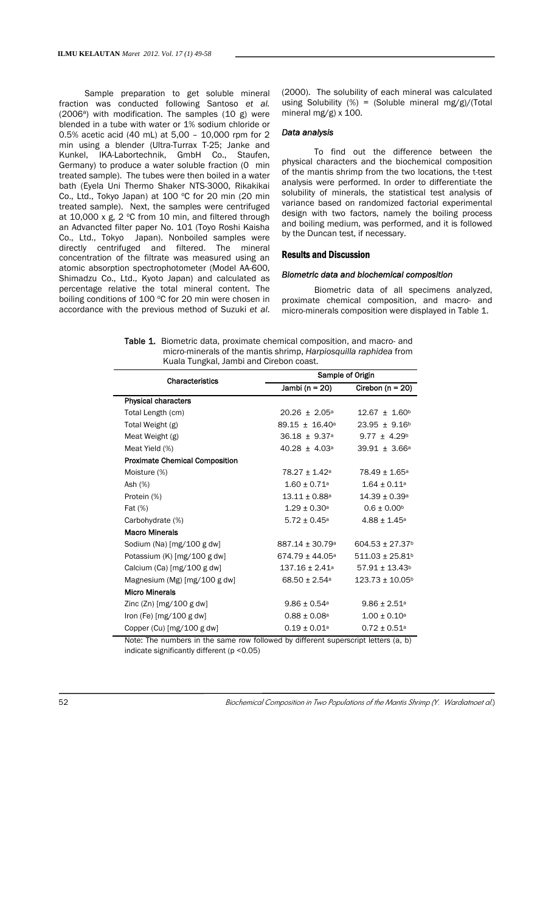Sample preparation to get soluble mineral fraction was conducted following Santoso *et al.*  $(2006^a)$  with modification. The samples  $(10 g)$  were blended in a tube with water or 1% sodium chloride or 0.5% acetic acid (40 mL) at 5,00 – 10,000 rpm for 2 min using a blender (Ultra-Turrax T-25; Janke and Kunkel, IKA-Labortechnik, GmbH Co., Staufen, Germany) to produce a water soluble fraction (0 min treated sample). The tubes were then boiled in a water bath (Eyela Uni Thermo Shaker NTS-3000, Rikakikai Co., Ltd., Tokyo Japan) at 100 °C for 20 min (20 min treated sample). Next, the samples were centrifuged at 10,000 x g,  $2 °C$  from 10 min, and filtered through an Advancted filter paper No. 101 (Toyo Roshi Kaisha Co., Ltd., Tokyo Japan). Nonboiled samples were directly centrifuged and filtered. The mineral concentration of the filtrate was measured using an atomic absorption spectrophotometer (Model AA-600, Shimadzu Co., Ltd., Kyoto Japan) and calculated as percentage relative the total mineral content. The boiling conditions of 100 °C for 20 min were chosen in accordance with the previous method of Suzuki *et al*. (2000). The solubility of each mineral was calculated using Solubility (%) = (Soluble mineral mg/g)/(Total mineral mg/g) x 100.

#### *Data analysis*

To find out the difference between the physical characters and the biochemical composition of the mantis shrimp from the two locations, the t-test analysis were performed. In order to differentiate the solubility of minerals, the statistical test analysis of variance based on randomized factorial experimental design with two factors, namely the boiling process and boiling medium, was performed, and it is followed by the Duncan test, if necessary.

#### Results and Discussion

#### *Biometric data and biochemical composition*

Biometric data of all specimens analyzed, proximate chemical composition, and macro- and micro-minerals composition were displayed in Table 1.

Table 1. Biometric data, proximate chemical composition, and macro- and micro-minerals of the mantis shrimp, *Harpiosquilla raphidea* from Kuala Tungkal, Jambi and Cirebon coast.

| <b>Characteristics</b>                | Sample of Origin                |                                 |  |
|---------------------------------------|---------------------------------|---------------------------------|--|
|                                       | Jambi (n = $20$ )               | Cirebon ( $n = 20$ )            |  |
| <b>Physical characters</b>            |                                 |                                 |  |
| Total Length (cm)                     | $20.26 + 2.05^{\circ}$          | $12.67 \pm 1.60^{\circ}$        |  |
| Total Weight (g)                      | $89.15 \pm 16.40^{\circ}$       | $23.95 \pm 9.16^{\circ}$        |  |
| Meat Weight (g)                       | $36.18 \pm 9.37$ <sup>a</sup>   | $9.77 \pm 4.29^{\circ}$         |  |
| Meat Yield (%)                        | $40.28 \pm 4.03$ <sup>a</sup>   | $39.91 \pm 3.66^{\circ}$        |  |
| <b>Proximate Chemical Composition</b> |                                 |                                 |  |
| Moisture (%)                          | 78.27 ± 1.42ª                   | 78.49 ± 1.65 <sup>a</sup>       |  |
| Ash (%)                               | $1.60 \pm 0.71$ a               | $1.64 \pm 0.11^{\circ}$         |  |
| Protein (%)                           | $13.11\pm0.88$ a .              | $14.39 \pm 0.39$ <sup>a</sup>   |  |
| Fat (%)                               | $1.29 \pm 0.30^{\circ}$         | $0.6 \pm 0.00$ <sup>b</sup>     |  |
| Carbohydrate (%)                      | $5.72 \pm 0.45^{\circ}$         | $4.88 \pm 1.45$ <sup>a</sup>    |  |
| <b>Macro Minerals</b>                 |                                 |                                 |  |
| Sodium (Na) [mg/100 g dw]             | $887.14 \pm 30.79$ <sup>a</sup> | $604.53 \pm 27.37$ <sup>b</sup> |  |
| Potassium $(K)$ [mg/100 g dw]         | $674.79 \pm 44.05^{\circ}$      | $511.03 \pm 25.81$ <sup>b</sup> |  |
| Calcium (Ca) [mg/100 g dw]            | $137.16 \pm 2.41^{\rm a}$       | $57.91 \pm 13.43$ <sup>b</sup>  |  |
| Magnesium (Mg) [mg/100 g dw]          | $68.50 \pm 2.54$ a              | $123.73 \pm 10.05^{\circ}$      |  |
| <b>Micro Minerals</b>                 |                                 |                                 |  |
| Zinc $(Zn)$ [mg/100 g dw]             | $9.86 \pm 0.54$ <sup>a</sup>    | $9.86 \pm 2.51$ <sup>a</sup>    |  |
| Iron (Fe) $[mg/100 g dw]$             | $0.88 \pm 0.08$ a               | $1.00 \pm 0.10^a$               |  |
| Copper (Cu) [mg/100 g dw]             | $0.19 \pm 0.01^{\circ}$         | $0.72 \pm 0.51$ <sup>a</sup>    |  |

Note: The numbers in the same row followed by different superscript letters (a, b) indicate significantly different (p <0.05)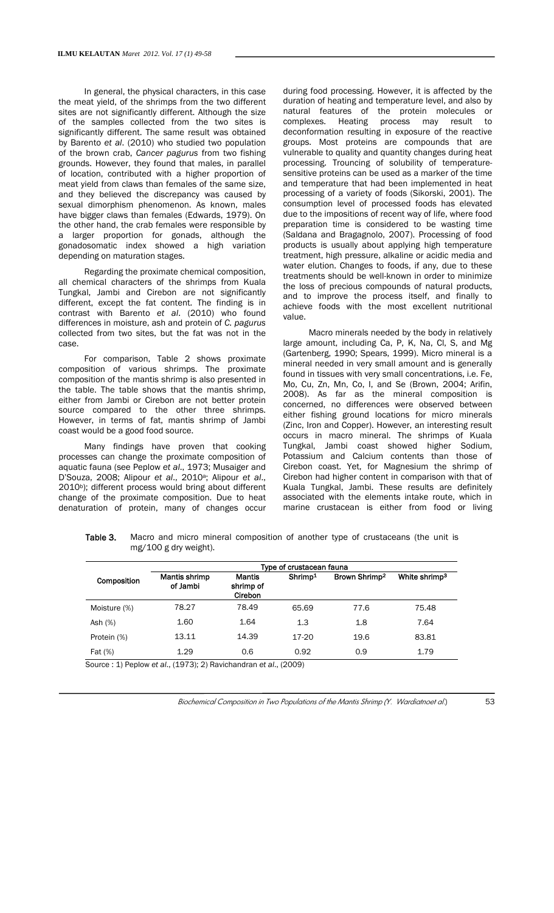In general, the physical characters, in this case the meat yield, of the shrimps from the two different sites are not significantly different. Although the size of the samples collected from the two sites is significantly different. The same result was obtained by Barento *et al*. (2010) who studied two population of the brown crab, *Cancer pagurus* from two fishing grounds. However, they found that males, in parallel of location, contributed with a higher proportion of meat yield from claws than females of the same size, and they believed the discrepancy was caused by sexual dimorphism phenomenon. As known, males have bigger claws than females (Edwards, 1979). On the other hand, the crab females were responsible by a larger proportion for gonads, although the gonadosomatic index showed a high variation depending on maturation stages.

Regarding the proximate chemical composition, all chemical characters of the shrimps from Kuala Tungkal, Jambi and Cirebon are not significantly different, except the fat content. The finding is in contrast with Barento *et al*. (2010) who found differences in moisture, ash and protein of *C. pagurus* collected from two sites, but the fat was not in the case.

For comparison, Table 2 shows proximate composition of various shrimps. The proximate composition of the mantis shrimp is also presented in the table. The table shows that the mantis shrimp, either from Jambi or Cirebon are not better protein source compared to the other three shrimps. However, in terms of fat, mantis shrimp of Jambi coast would be a good food source.

Many findings have proven that cooking processes can change the proximate composition of aquatic fauna (see Peplow *et al*., 1973; Musaiger and D'Souza, 2008; Alipour *et al*., 2010a; Alipour *et al*., 2010b); different process would bring about different change of the proximate composition. Due to heat denaturation of protein, many of changes occur

during food processing. However, it is affected by the duration of heating and temperature level, and also by natural features of the protein molecules or complexes. Heating process may result to deconformation resulting in exposure of the reactive groups. Most proteins are compounds that are vulnerable to quality and quantity changes during heat processing. Trouncing of solubility of temperaturesensitive proteins can be used as a marker of the time and temperature that had been implemented in heat processing of a variety of foods (Sikorski, 2001). The consumption level of processed foods has elevated due to the impositions of recent way of life, where food preparation time is considered to be wasting time (Saldana and Bragagnolo, 2007). Processing of food products is usually about applying high temperature treatment, high pressure, alkaline or acidic media and water elution. Changes to foods, if any, due to these treatments should be well-known in order to minimize the loss of precious compounds of natural products, and to improve the process itself, and finally to achieve foods with the most excellent nutritional value.

Macro minerals needed by the body in relatively large amount, including Ca, P, K, Na, Cl, S, and Mg (Gartenberg, 1990; Spears, 1999). Micro mineral is a mineral needed in very small amount and is generally found in tissues with very small concentrations, i.e. Fe, Mo, Cu, Zn, Mn, Co, I, and Se (Brown, 2004; Arifin, 2008). As far as the mineral composition is concerned, no differences were observed between either fishing ground locations for micro minerals (Zinc, Iron and Copper). However, an interesting result occurs in macro mineral. The shrimps of Kuala Tungkal, Jambi coast showed higher Sodium, Potassium and Calcium contents than those of Cirebon coast. Yet, for Magnesium the shrimp of Cirebon had higher content in comparison with that of Kuala Tungkal, Jambi. These results are definitely associated with the elements intake route, which in marine crustacean is either from food or living

Table 3. Macro and micro mineral composition of another type of crustaceans (the unit is mg/100 g dry weight).

|              | Type of crustacean fauna  |                                       |                     |                           |                           |  |
|--------------|---------------------------|---------------------------------------|---------------------|---------------------------|---------------------------|--|
| Composition  | Mantis shrimp<br>of Jambi | <b>Mantis</b><br>shrimp of<br>Cirebon | Shrimp <sup>1</sup> | Brown Shrimp <sup>2</sup> | White shrimp <sup>3</sup> |  |
| Moisture (%) | 78.27                     | 78.49                                 | 65.69               | 77.6                      | 75.48                     |  |
| Ash (%)      | 1.60                      | 1.64                                  | 1.3                 | 1.8                       | 7.64                      |  |
| Protein (%)  | 13.11                     | 14.39                                 | 17-20               | 19.6                      | 83.81                     |  |
| Fat (%)      | 1.29                      | 0.6                                   | 0.92                | 0.9                       | 1.79                      |  |

Source : 1) Peplow *et al*., (1973); 2) Ravichandran *et al*., (2009)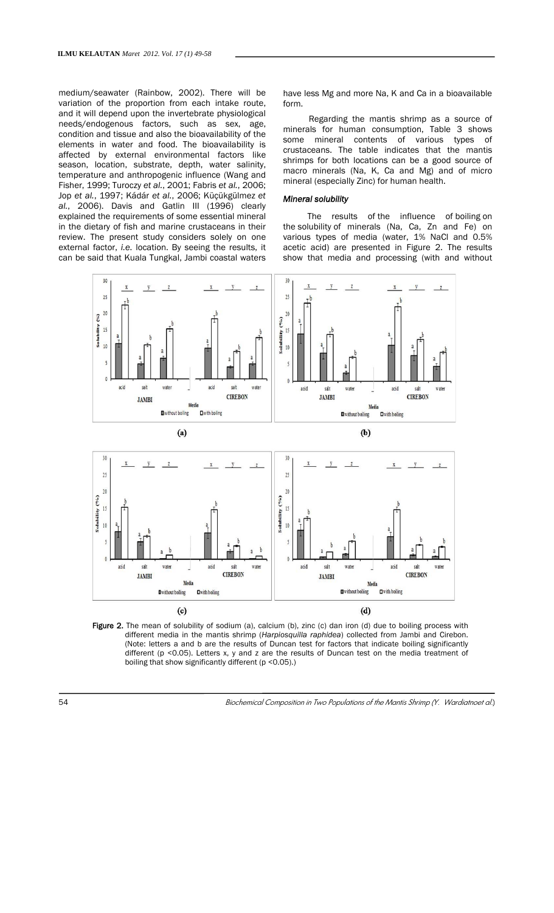medium/seawater (Rainbow, 2002). There will be variation of the proportion from each intake route, and it will depend upon the invertebrate physiological needs/endogenous factors, such as sex, age, condition and tissue and also the bioavailability of the elements in water and food. The bioavailability is affected by external environmental factors like season, location, substrate, depth, water salinity, temperature and anthropogenic influence (Wang and Fisher, 1999; Turoczy *et al.*, 2001; Fabris *et al.*, 2006; Jop *et al.*, 1997; Kádár *et al.*, 2006; Küçükgülmez *et al.*, 2006). Davis and Gatlin III (1996) clearly explained the requirements of some essential mineral in the dietary of fish and marine crustaceans in their review. The present study considers solely on one external factor, *i.e*. location. By seeing the results, it can be said that Kuala Tungkal, Jambi coastal waters

have less Mg and more Na, K and Ca in a bioavailable form.

Regarding the mantis shrimp as a source of minerals for human consumption, Table 3 shows some mineral contents of various types of crustaceans. The table indicates that the mantis shrimps for both locations can be a good source of macro minerals (Na, K, Ca and Mg) and of micro mineral (especially Zinc) for human health.

### *Mineral solubility*

The results of the influence of boiling on the solubility of minerals (Na, Ca, Zn and Fe) on various types of media (water, 1% NaCl and 0.5% acetic acid) are presented in Figure 2. The results show that media and processing (with and without



Figure 2. The mean of solubility of sodium (a), calcium (b), zinc (c) dan iron (d) due to boiling process with different media in the mantis shrimp (*Harpiosquilla raphidea*) collected from Jambi and Cirebon. (Note: letters a and b are the results of Duncan test for factors that indicate boiling significantly different (p <0.05). Letters x, y and z are the results of Duncan test on the media treatment of boiling that show significantly different (p <0.05).)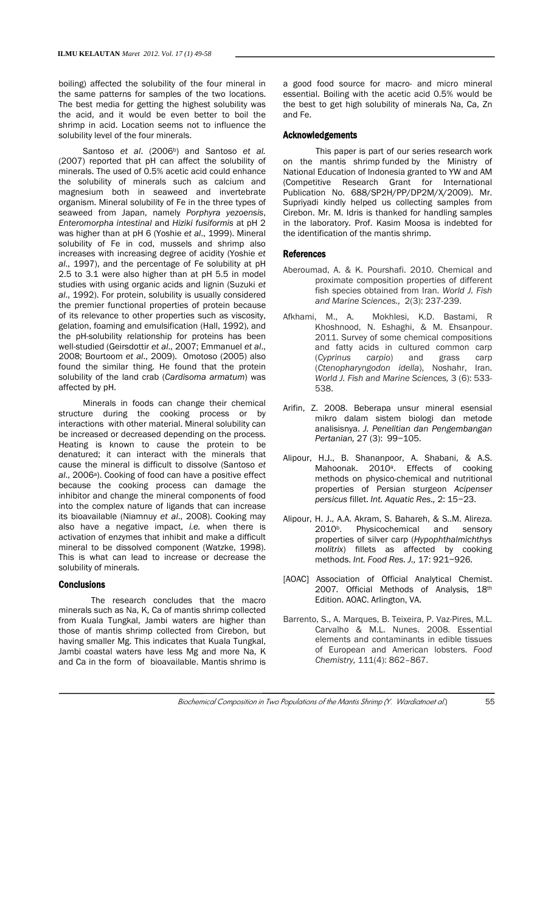boiling) affected the solubility of the four mineral in the same patterns for samples of the two locations. The best media for getting the highest solubility was the acid, and it would be even better to boil the shrimp in acid. Location seems not to influence the solubility level of the four minerals.

Santoso *et al.* (2006<sup>b</sup>) and Santoso *et al.* (2007) reported that pH can affect the solubility of minerals. The used of 0.5% acetic acid could enhance the solubility of minerals such as calcium and magnesium both in seaweed and invertebrate organism. Mineral solubility of Fe in the three types of seaweed from Japan, namely *Porphyra yezoensis*, *Enteromorpha intestinal* and *Hiziki fusiformis* at pH 2 was higher than at pH 6 (Yoshie *et al*., 1999). Mineral solubility of Fe in cod, mussels and shrimp also increases with increasing degree of acidity (Yoshie *et al*., 1997), and the percentage of Fe solubility at pH 2.5 to 3.1 were also higher than at pH 5.5 in model studies with using organic acids and lignin (Suzuki *et al*., 1992). For protein, solubility is usually considered the premier functional properties of protein because of its relevance to other properties such as viscosity, gelation, foaming and emulsification (Hall, 1992), and the pH-solubility relationship for proteins has been well-studied (Geirsdottir *et al*., 2007; Emmanuel *et al*., 2008; Bourtoom *et al*., 2009). Omotoso (2005) also found the similar thing. He found that the protein solubility of the land crab (*Cardisoma armatum*) was affected by pH.

Minerals in foods can change their chemical structure during the cooking process or by interactions with other material. Mineral solubility can be increased or decreased depending on the process. Heating is known to cause the protein to be denatured; it can interact with the minerals that cause the mineral is difficult to dissolve (Santoso *et*  al., 2006<sup>a</sup>). Cooking of food can have a positive effect because the cooking process can damage the inhibitor and change the mineral components of food into the complex nature of ligands that can increase its bioavailable (Niamnuy *et al*., 2008). Cooking may also have a negative impact, *i.e.* when there is activation of enzymes that inhibit and make a difficult mineral to be dissolved component (Watzke, 1998). This is what can lead to increase or decrease the solubility of minerals.

#### **Conclusions**

 The research concludes that the macro minerals such as Na, K, Ca of mantis shrimp collected from Kuala Tungkal, Jambi waters are higher than those of mantis shrimp collected from Cirebon, but having smaller Mg. This indicates that Kuala Tungkal, Jambi coastal waters have less Mg and more Na, K and Ca in the form of bioavailable. Mantis shrimp is

a good food source for macro- and micro mineral essential. Boiling with the acetic acid 0.5% would be the best to get high solubility of minerals Na, Ca, Zn and Fe.

#### Acknowledgements

This paper is part of our series research work on the mantis shrimp funded by the Ministry of National Education of Indonesia granted to YW and AM (Competitive Research Grant for International Publication No. 688/SP2H/PP/DP2M/X/2009). Mr. Supriyadi kindly helped us collecting samples from Cirebon. Mr. M. Idris is thanked for handling samples in the laboratory. Prof. Kasim Moosa is indebted for the identification of the mantis shrimp.

## References

- Aberoumad, A. & K. Pourshafi. 2010. Chemical and proximate composition properties of different fish species obtained from Iran. *World J. Fish and Marine Sciences.,* 2(3): 237-239.
- Afkhami, M., A. Mokhlesi, K.D. Bastami, R Khoshnood, N. Eshaghi, & M. Ehsanpour. 2011. Survey of some chemical compositions and fatty acids in cultured common carp (*Cyprinus carpio*) and grass carp (*Ctenopharyngodon idella*), Noshahr, Iran. *World J. Fish and Marine Sciences,* 3 (6): 533- 538.
- Arifin, Z. 2008. Beberapa unsur mineral esensial mikro dalam sistem biologi dan metode analisisnya. *J. Penelitian dan Pengembangan Pertanian,* 27 (3): 99−105.
- Alipour, H.J., B. Shananpoor, A. Shabani, & A.S. Mahoonak. 2010<sup>a</sup>. Effects of cooking methods on physico-chemical and nutritional properties of Persian sturgeon *Acipenser persicus* fillet. *Int. Aquatic Res.,* 2: 15−23.
- Alipour, H. J., A.A. Akram, S. Bahareh, & S..M. Alireza. 2010<sup>b</sup>. Physicochemical and sensory properties of silver carp (*Hypophthalmichthys molitrix*) fillets as affected by cooking methods. *Int. Food Res. J.,* 17: 921−926.
- [AOAC] Association of Official Analytical Chemist. 2007*.* Official Methods of Analysis, 18th Edition. AOAC. Arlington, VA.
- Barrento, S., A. Marques, B. Teixeira, P. Vaz-Pires, M.L. Carvalho & M.L. Nunes. 2008. Essential elements and contaminants in edible tissues of European and American lobsters. *Food Chemistry,* 111(4): 862–867.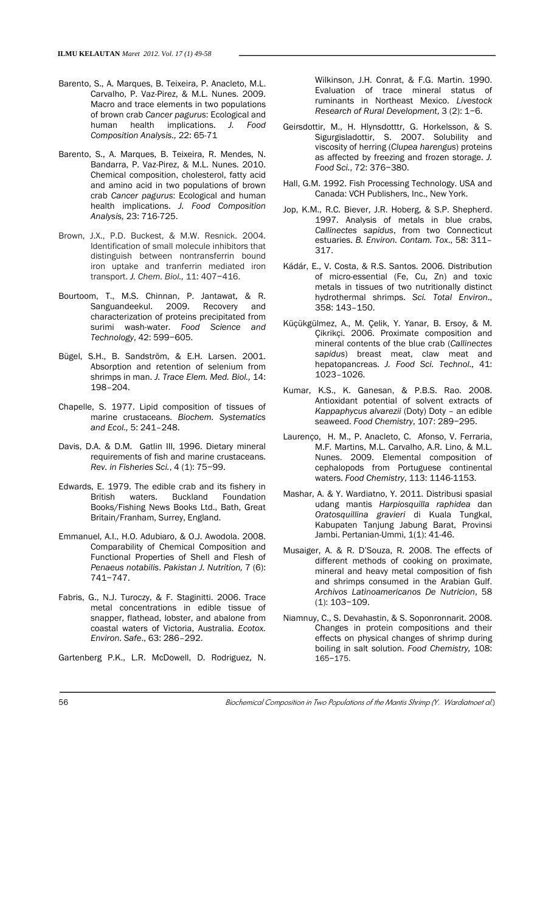- Barento, S., A. Marques, B. Teixeira, P. Anacleto, M.L. Carvalho, P. Vaz-Pirez, & M.L. Nunes. 2009. Macro and trace elements in two populations of brown crab *Cancer pagurus*: Ecological and human health implications. *J. Food Composition Analysis.,* 22: 65-71
- Barento, S., A. Marques, B. Teixeira, R. Mendes, N. Bandarra, P. Vaz-Pirez, & M.L. Nunes. 2010. Chemical composition, cholesterol, fatty acid and amino acid in two populations of brown crab *Cancer pagurus*: Ecological and human health implications. *J. Food Composition Analysis,* 23: 716-725.
- Brown, J.X., P.D. Buckest, & M.W. Resnick. 2004. Identification of small molecule inhibitors that distinguish between nontransferrin bound iron uptake and tranferrin mediated iron transport. *J. Chem. Biol.,* 11: 407−416.
- Bourtoom, T., M.S. Chinnan, P. Jantawat, & R. Sanguandeekul. 2009. Recovery and characterization of proteins precipitated from surimi wash-water. *Food Science and Technology*, 42: 599−605.
- Bügel, S.H., B. Sandström, & E.H. Larsen. 2001. Absorption and retention of selenium from shrimps in man. *J. Trace Elem. Med. Biol.,* 14: 198–204.
- Chapelle, S. 1977. Lipid composition of tissues of marine crustaceans. *Biochem. Systematics and Ecol.,* 5: 241–248.
- Davis, D.A. & D.M. Gatlin III, 1996. Dietary mineral requirements of fish and marine crustaceans. *Rev. in Fisheries Sci.*, 4 (1): 75−99.
- Edwards, E. 1979. The edible crab and its fishery in British waters. Buckland Foundation Books/Fishing News Books Ltd., Bath, Great Britain/Franham, Surrey, England.
- Emmanuel, A.I., H.O. Adubiaro, & O.J. Awodola. 2008. Comparability of Chemical Composition and Functional Properties of Shell and Flesh of *Penaeus notabilis*. *Pakistan J. Nutrition,* 7 (6): 741−747.
- Fabris, G., N.J. Turoczy, & F. Staginitti. 2006. Trace metal concentrations in edible tissue of snapper, flathead, lobster, and abalone from coastal waters of Victoria, Australia. *Ecotox. Environ. Safe*., 63: 286–292.
- Gartenberg P.K., L.R. McDowell, D. Rodriguez, N.

Wilkinson, J.H. Conrat, & F.G. Martin. 1990. Evaluation of trace mineral status of ruminants in Northeast Mexico. *Livestock Research of Rural Development*, 3 (2): 1−6.

- Geirsdottir, M., H. Hlynsdotttr, G. Horkelsson, & S. Sigurgisladottir, S. 2007. Solubility and viscosity of herring (*Clupea harengus*) proteins as affected by freezing and frozen storage. *J. Food Sci.*, 72: 376−380.
- Hall, G.M. 1992. Fish Processing Technology. USA and Canada: VCH Publishers, Inc., New York.
- Jop, K.M., R.C. Biever, J.R. Hoberg, & S.P. Shepherd. 1997. Analysis of metals in blue crabs, *Callinectes sapidus*, from two Connecticut estuaries. *B. Environ. Contam. Tox*., 58: 311– 317.
- Kádár, E., V. Costa, & R.S. Santos. 2006. Distribution of micro-essential (Fe, Cu, Zn) and toxic metals in tissues of two nutritionally distinct hydrothermal shrimps. *Sci. Total Environ*., 358: 143–150.
- Küçükgülmez, A., M. Çelik, Y. Yanar, B. Ersoy, & M. Çikrikçi. 2006. Proximate composition and mineral contents of the blue crab (*Callinectes sapidus*) breast meat, claw meat and hepatopancreas. *J. Food Sci. Technol.,* 41: 1023–1026.
- Kumar, K.S., K. Ganesan, & P.B.S. Rao. 2008. Antioxidant potential of solvent extracts of *Kappaphycus alvarezii* (Doty) Doty – an edible seaweed. *Food Chemistry*, 107: 289−295.
- Laurenço, H. M., P. Anacleto, C. Afonso, V. Ferraria, M.F. Martins, M.L. Carvalho, A.R. Lino, & M.L. Nunes. 2009. Elemental composition of cephalopods from Portuguese continental waters. *Food Chemistry*, 113: 1146-1153.
- Mashar, A. & Y. Wardiatno, Y. 2011. Distribusi spasial udang mantis *Harpiosquilla raphidea* dan *Oratosquillina gravieri* di Kuala Tungkal, Kabupaten Tanjung Jabung Barat, Provinsi Jambi. Pertanian-Ummi, 1(1): 41-46.
- Musaiger, A. & R. D'Souza, R. 2008. The effects of different methods of cooking on proximate, mineral and heavy metal composition of fish and shrimps consumed in the Arabian Gulf. *Archivos Latinoamericanos De Nutricion*, 58 (1): 103−109.
- Niamnuy, C., S. Devahastin, & S. Soponronnarit. 2008. Changes in protein compositions and their effects on physical changes of shrimp during boiling in salt solution. *Food Chemistry,* 108: 165−175.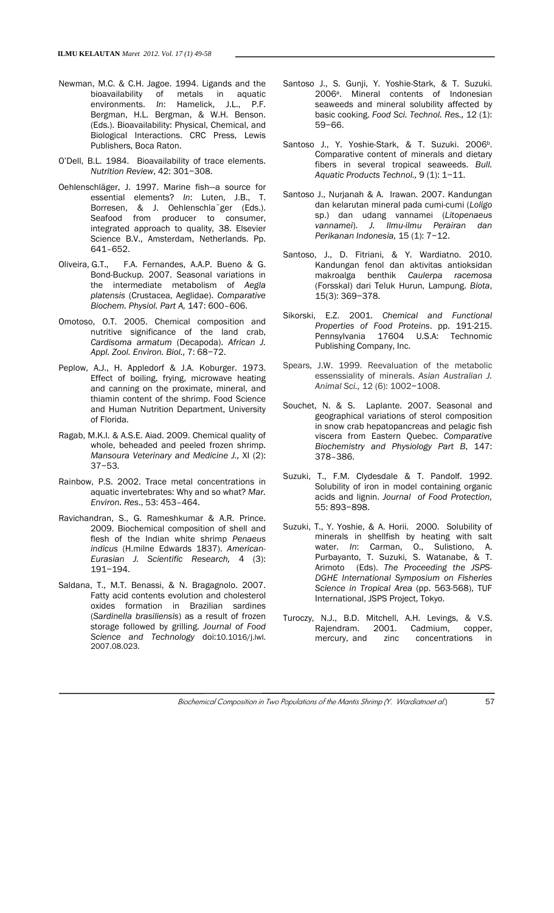- Newman, M.C. & C.H. Jagoe. 1994. Ligands and the bioavailability of metals in aquatic environments. *In*: Hamelick, J.L., P.F. Bergman, H.L. Bergman, & W.H. Benson. (Eds.). Bioavailability: Physical, Chemical, and Biological Interactions. CRC Press, Lewis Publishers, Boca Raton.
- O'Dell, B.L. 1984. Bioavailability of trace elements. *Nutrition Review*, 42: 301−308.
- Oehlenschläger, J. 1997. Marine fish—a source for essential elements? *In*: Luten, J.B., T. Borresen, & J. Oehlenschla¨ger (Eds.). Seafood from producer to consumer, integrated approach to quality, 38. Elsevier Science B.V., Amsterdam, Netherlands. Pp. 641–652.
- Oliveira, G.T., F.A. Fernandes, A.A.P. Bueno & G. Bond-Buckup. 2007. Seasonal variations in the intermediate metabolism of *Aegla platensis* (Crustacea, Aeglidae). *Comparative Biochem. Physiol. Part A,* 147: 600–606.
- Omotoso, O.T. 2005. Chemical composition and nutritive significance of the land crab, *Cardisoma armatum* (Decapoda). *African J. Appl. Zool. Environ. Biol.,* 7: 68−72.
- Peplow, A.J., H. Appledorf & J.A. Koburger. 1973. Effect of boiling, frying, microwave heating and canning on the proximate, mineral, and thiamin content of the shrimp. Food Science and Human Nutrition Department, University of Florida.
- Ragab, M.K.I. & A.S.E. Aiad. 2009. Chemical quality of whole, beheaded and peeled frozen shrimp. *Mansoura Veterinary and Medicine J.,* XI (2): 37−53.
- Rainbow, P.S. 2002. Trace metal concentrations in aquatic invertebrates: Why and so what? *Mar. Environ. Res*., 53: 453–464.
- Ravichandran, S., G. Rameshkumar & A.R. Prince. 2009. Biochemical composition of shell and flesh of the Indian white shrimp *Penaeus indicus* (H.milne Edwards 1837). *American-Eurasian J. Scientific Research,* 4 (3): 191−194.
- Saldana, T., M.T. Benassi, & N. Bragagnolo. 2007. Fatty acid contents evolution and cholesterol oxides formation in Brazilian sardines (*Sardinella brasiliensis*) as a result of frozen storage followed by grilling. *Journal of Food Science and Technology* doi:10.1016/j.lwl. 2007.08.023.
- Santoso J., S. Gunji, Y. Yoshie-Stark, & T. Suzuki. 2006a. Mineral contents of Indonesian seaweeds and mineral solubility affected by basic cooking. *Food Sci. Technol. Res.,* 12 (1): 59−66.
- Santoso J., Y. Yoshie-Stark, & T. Suzuki. 2006<sup>b</sup>. Comparative content of minerals and dietary fibers in several tropical seaweeds. *Bull. Aquatic Products Technol.,* 9 (1): 1−11.
- Santoso J., Nurjanah & A. Irawan. 2007. Kandungan dan kelarutan mineral pada cumi-cumi (*Loligo* sp.) dan udang vannamei (*Litopenaeus vannamei*). *J. Ilmu-ilmu Perairan dan Perikanan Indonesia,* 15 (1): 7−12.
- Santoso, J., D. Fitriani, & Y. Wardiatno. 2010. Kandungan fenol dan aktivitas antioksidan makroalga benthik *Caulerpa racemosa* (Forsskal) dari Teluk Hurun, Lampung. *Biota*, 15(3): 369−378.
- Sikorski, E.Z. 2001. *Chemical and Functional Properties of Food Proteins*. pp. 191-215. Pennsylvania 17604 U.S.A: Technomic Publishing Company, Inc.
- Spears, J.W. 1999. Reevaluation of the metabolic essenssiality of minerals. *Asian Australian J. Animal Sci.,* 12 (6): 1002−1008.
- Souchet, N. & S. Laplante. 2007. Seasonal and geographical variations of sterol composition in snow crab hepatopancreas and pelagic fish viscera from Eastern Quebec. *Comparative Biochemistry and Physiology Part B*, 147: 378–386.
- Suzuki, T., F.M. Clydesdale & T. Pandolf. 1992. Solubility of iron in model containing organic acids and lignin. *Journal of Food Protection,* 55: 893−898.
- Suzuki, T., Y. Yoshie, & A. Horii. 2000. Solubility of minerals in shellfish by heating with salt water. *In*: Carman, O., Sulistiono, A. Purbayanto, T. Suzuki, S. Watanabe, & T. Arimoto (Eds). *The Proceeding the JSPS-DGHE International Symposium on Fisheries Science in Tropical Area* (pp. 563-568), TUF International, JSPS Project, Tokyo.
- Turoczy, N.J., B.D. Mitchell, A.H. Levings, & V.S. Rajendram. 2001. Cadmium, copper, mercury, and zinc concentrations in